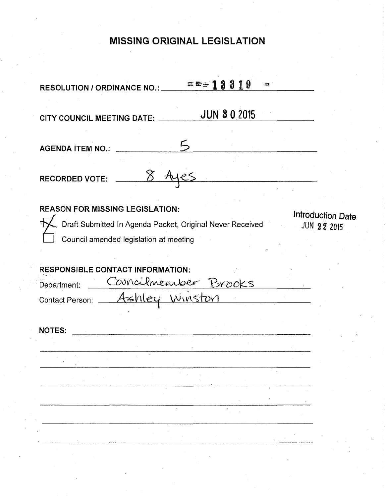# **MISSING ORIGINAL LEGISLATION**

| $= 18819$<br>$-28$<br><b>RESOLUTION / ORDINANCE NO.:</b>                                            |                                         |
|-----------------------------------------------------------------------------------------------------|-----------------------------------------|
| <b>JUN 30 2015</b><br>CITY COUNCIL MEETING DATE:                                                    |                                         |
| <b>AGENDA ITEM NO.:</b>                                                                             |                                         |
| $\delta$<br><b>RECORDED VOTE:</b>                                                                   |                                         |
| <b>REASON FOR MISSING LEGISLATION:</b><br>Draft Submitted In Agenda Packet, Original Never Received | Introduction Date<br><b>JUN 22 2015</b> |
| Council amended legislation at meeting                                                              |                                         |
| <b>RESPONSIBLE CONTACT INFORMATION:</b>                                                             |                                         |
| Corncilmenteer Brooks<br>Department:                                                                |                                         |
| Contact Person: Ashley Winston                                                                      |                                         |
| <b>NOTES:</b>                                                                                       |                                         |
|                                                                                                     |                                         |
|                                                                                                     |                                         |
|                                                                                                     |                                         |
|                                                                                                     |                                         |
|                                                                                                     |                                         |
|                                                                                                     |                                         |
|                                                                                                     |                                         |
|                                                                                                     |                                         |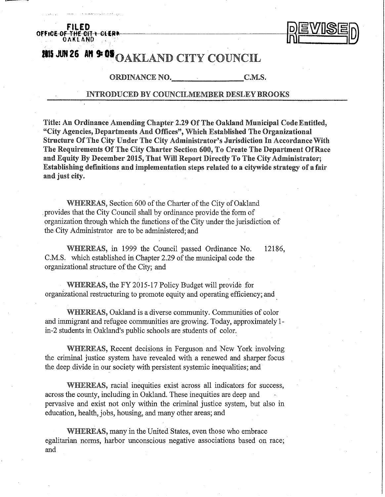



# **2015 JUN 26 AM 9:09 OAKLAND CITY COUNCIL**

ORDINANCE NO. C.M.S.

# INTRODUCED BY COUNCILMEMBER BESLEY BROOKS

Title: An Ordinance Amending Chapter 2.29 Of The Oakland Municipal Code Entitled, "City Agencies, Departments And Offices", Which Established The Organizational Structure Of The City Under The City Administrator's Jurisdiction In Accordance With The Requirements Of The City Charter Section 600, To Create The Department Of Race and Equity By December 2015, That Will Report Directly To The City Administrator; Establishing definitions and implementation steps related to a citywide strategy of a fair and just city.

WHEREAS, Section 600 of the Charter of the City of Oakland , provides that the City Council shall by ordinance provide the form of organization through which the functions of the City under the jurisdiction of the City Administrator are to be administered; and

WHEREAS, in 1999 the Council passed Ordinance No. 12186, C.M.S. which established in Chapter 2.29 of the municipal code the organizational structure of the City; and

WHEREAS, the FY 2015-17 Policy Budget will provide for organizational restructuring to promote equity and operating efficiency; and

WHEREAS, Oakland is a diverse community. Communities of color and immigrant and refugee communities are growing. Today, approximately 1 in-2 students in Oakland's public schools are students of color.

WHEREAS, Recent decisions in Ferguson and New York involving the criminal justice system have revealed with a renewed and sharper focus the deep divide in our society with persistent systemic inequalities; and

WHEREAS, racial inequities exist across all indicators for success, across the county, including in Oakland. These inequities are deep and pervasive and exist not only within the criminal justice system, but also in education, health, jobs, housing, and many other areas; and

WHEREAS, many in the United States, even those who embrace egalitarian norms, harbor unconscious negative associations based on race; and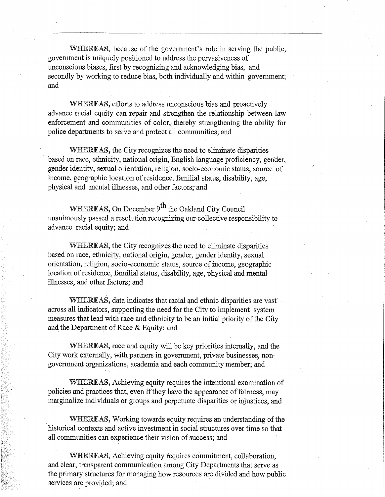WHEREAS, because of the government's role in serving the public, government is uniquely positioned to address the pervasiveness of unconscious biases, first by recognizing and acknowledging bias, and secondly by working to reduce bias, both individually and within government; and

WHEREAS, efforts to address unconscious bias and proactively advance racial equity can repair and strengthen the relationship between law enforcement and communities of color, thereby strengthening the ability for police departments to serve and protect all communities; and

WHEREAS, the City recognizes the need to eliminate disparities based on race, ethnicity, national origin, English language proficiency, gender, gender identity, sexual orientation, religion, socio-economic status, source of income, geographic location of residence, familial status, disability, age, physical and mental illnesses, and other factors; and

WHEREAS, On December 9<sup>th</sup> the Oakland City Council unanimously passed a resolution recognizing our collective responsibility to advance racial equity; and

WHEREAS, the City recognizes the need to eliminate disparities based on race, ethnicity, national origin, gender, gender identity, sexual orientation, religion, socio-economic status, source of income, geographic location of residence, familial status, disability, age, physical and mental illnesses, and other factors; and

WHEREAS, data indicates that racial and ethnic disparities are vast' across all indicators, supporting the need for the City to implement system measures that lead with race and ethnicity to be an initial priority of the City and the Department of Race & Equity; and

WHEREAS, race and equity will be key priorities internally, and the City work externally, with partners in government, private businesses, nongovernment organizations, academia and each community member; and

WHEREAS, Achieving equity requires the intentional examination of policies and practices that, even if they have the appearance of fairness, may marginalize individuals or groups and perpetuate disparities or injustices, and

WHEREAS, Working towards equity requires an understanding of the historical contexts and active investment in social structures over time so that all communities can experience their vision of success; and

WHEREAS, Achieving equity requires commitment, collaboration, and clear, transparent communication among City Departments that serve as the primary structures for managing how resources are divided and how public services are provided; and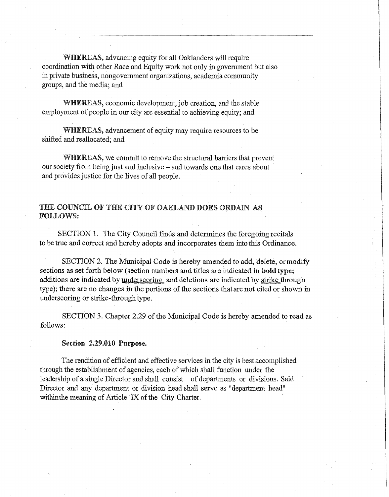WHEREAS, advancing equity for all Oaklanders will require coordination with other Race and Equity work not only in government but also in private business, nongovernment organizations, academia community groups, and the media; and

WHEREAS, economic development, job creation, and the stable employment of people in our city are essential to achieving equity; and

WHEREAS, advancement of equity may require resources to be shifted and reallocated; and

WHEREAS, we commit to remove the structural barriers that prevent our society from being just and inclusive – and towards one that cares about and provides justice for the lives of all people.

# THE COUNCIL OF THE CITY OF OAKLANB DOES ORDAIN AS FOLLOWS:

SECTION 1. The City Council finds and determines the foregoing recitals to be true and correct and hereby adopts and incorporates them into this Ordinance.

SECTION 2. The Municipal Code is hereby amended to add, delete, ormodify sections as set forth below (section numbers and titles are indicated in bold type; additions are indicated by underscoring and deletions are indicated by strike through type); there are no changes in the portions of the sections that are not cited or shown in underscoring or strike-through type.

SECTION 3. Chapter 2.29 of the Municipal Code is hereby amended to read as follows:

#### Section 2.29.010 Purpose.

The rendition of efficient and effective services in the city is best accomplished through the establishment of agencies, each of which shall function under the leadership of a single Director and shall consist of departments or divisions. Said Director and any department or division head shall serve as "department head" within the meaning of Article<sup> $\tau$ </sup>X of the City Charter.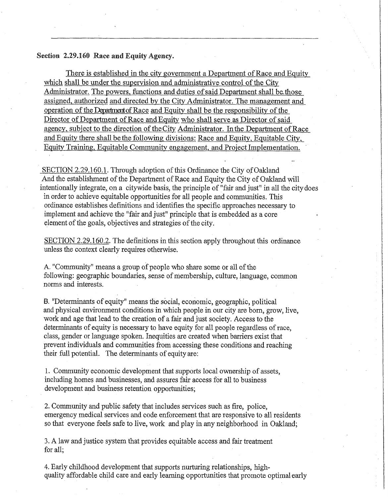## Section 2.29.160 Race and Equity Agency.

There is established in the city government a Department of Race and Equity which shall be under the supervision and administrative control of the City Administrator. The powers, functions and duties of said Department shall be those assigned, authorized and directed by the City Administrator. The management and operation of the Department of Race and Equity shall be the responsibility of the Director of Department of Race and Equity who shall serve as Director of said agency, subject to the direction of the City Administrator. In the Department of Race and Equity there shall be the following divisions: Race and Equity, Equitable City. Equity Training. Equitable Community engagement, and Project Implementation.

SECTION 2.29.160.1. Through adoption of this Ordinance the City of Oakland And the establishment of the Department of Race and Equity the City of Oakland will intentionally integrate, on a citywide basis, the principle of "fair and just" in all the city does in order to achieve equitable opportunities for all people and communities. This ordinance establishes definitions and identifies the specific approaches necessary to implement and achieve the "fair and just" principle that is embedded as a core element of the goals, objectives and strategies of the city.

SECTION 2.29.160.2. The definitions in this section apply throughout this ordinance unless the context clearly requires otherwise.

A. "Community" means a group of people who share some or all of the following: geographic boundaries, sense of membership, culture, language, common norms and interests.

B. "Determinants of equity" means the social, economic, geographic, political and physical environment conditions in which people in our city are born, grow, live, work and age that lead to the creation of a fair and just society. Access to the determinants of equity is necessary to have equity for all people regardless of race, class, gender or language spoken. Inequities are created when barriers exist that prevent individuals and communities from accessing these conditions and reaching their full potential. The determinants of equity are:

1. Community economic development that supports local ownership of assets, including homes and businesses, and assures fair access for all to business development and business retention opportunities;

2. Community and public safety that includes services such as fire, police, emergency medical services and code enforcement that axe responsive to all residents so that everyone feels safe to live, work and play in any neighborhood in Oakland;

3. A law and justice system that provides equitable access and fair treatment for all;

4. Early childhood development that supports nurturing relationships, highquality affordable child care and early learning opportunities that promote optimal early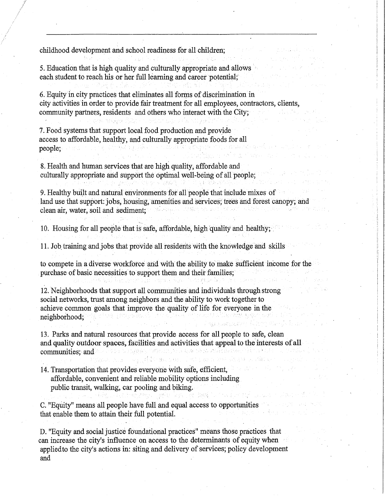childhood development and school readiness for all children;

5. Education that is high quality and culturally appropriate and allows each student to reach his or her full learning and career potential;

6. Equity in city practices that eliminates all forms of discrimination in city activities in order to provide fair treatment for all employees, contractors, clients, community partners, residents and others who interact with the City;

7. Food systems that support local food production and provide access to affordable, healthy, and culturally appropriate foods for all people;

8. Health and human services that are high quality, affordable and culturally appropriate and support the optimal well-being of all people;

9. Healthy built and natural environments for all people that include mixes of land use that support: jobs, housing, amenities and services; trees and forest canopy; and clean air, water, soil and sediment;

10. Housing for all people that is safe, affordable, high quality and healthy;

11. Job, training and jobs that provide all residents with the knowledge and skills

to compete in a diverse workforce arid with the ability to make sufficient income for the purchase of basic necessities to support them and their families;

12. Neighborhoods that support all communities and individuals through strong social networks, trust among neighbors and the ability to work together to achieve common goals that improve the quality of life for everyone in the neighborhood;

13. Parks and natural resources that provide access for all people to safe, clean and quality outdoor spaces, facilities and activities that appeal to the interests of all communities; and (将事的复数,按照

14. Transportation that provides everyone with safe, efficient, affordable, convenient and reliable mobility options including public transit, walking, car pooling and biking.

C. "Equity" means all people have full and equal access to opportunities that enable them to attain their full potential.

D. "Equity and social justice foundational practices" means those practices that can increase the city's influence on access to the determinants of equity when appliedto the city's actions in: siting and delivery of services; policy development and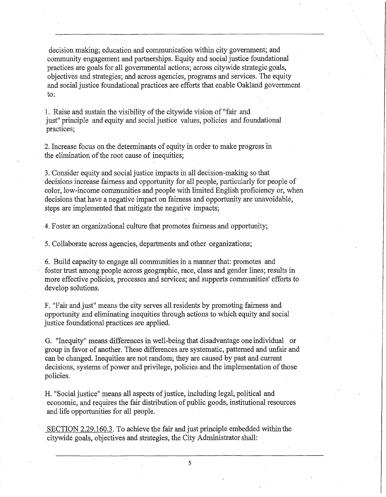decision making; education and communication within city government; and community engagement and partnerships. Equity and social justice foundational practices are goals for all governmental actions; across citywide strategic goals, objectives and strategies; and across agencies, programs and services. The equity and social justice foundational practices are efforts that enable Oakland government to:

1. Raise and sustain the visibility of the citywide vision of "fair and just" principle and equity and social justice values, policies and foundational practices;

2. Increase focus on the determinants of equity in order to make progress in the elimination of the root cause of inequities;

3. Consider equity and social justice impacts in all decision-making so that decisions increase fairness and opportunity for all people, particularly for people of color, low-income communities and people with limited English proficiency or, when decisions that have a negative impact on fairness and opportunity are unavoidable, steps are implemented that mitigate the negative impacts;

4. Foster an organizational culture that promotes fairness and opportunity;

5. Collaborate across agencies, departments and other organizations;

6. Build capacity to engage all communities in a manner that: promotes and foster trust among people across geographic, race, class and gender lines; results in more effective policies, processes and services; and supports communities' efforts to develop solutions.

F. "Fair and just" means the city serves all residents by promoting fairness and opportunity and eliminating inequities through actions to which equity and social justice foundational practices are applied.

G. "Inequity" means differences in well-being that disadvantage one individual or group in favor of another. These differences are systematic, patterned and unfair and can be changed. Inequities are not random; they are caused by past and current decisions, systems of power and privilege, policies and the implementation of those policies.

H. "Social justice" means all aspects of justice, including legal, political and economic, and requires the fair distribution of public goods, institutional resources and life opportunities for all people.

SECTION 2.29.160.3. To achieve the fair and just principle embedded within the citywide goals, objectives and strategies, the City Administrator shall:

**5**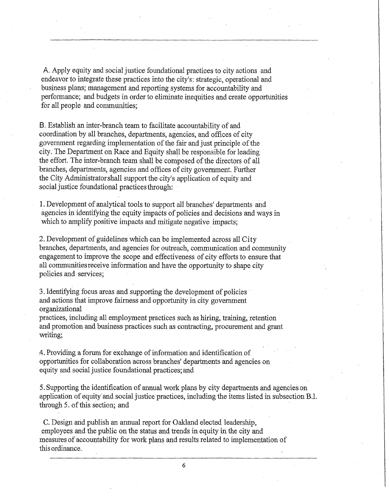A. Apply equity and social justice foundational practices to city actions and endeavor to integrate these practices into the city's: strategic, operational and business plans; management and reporting systems for accountability and performance; and budgets in order to eliminate inequities and create opportunities for all people and communities;

B. Establish an inter-branch team to facilitate accountability of and coordination by all branches, departments, agencies, and offices of city government regarding implementation of the fair and just principle of the city. The Department on Race and Equity shall be responsible for leading the effort. The inter-branch team shall be composed of the directors of all branches, departments, agencies and offices of city government. Further the City Administrator shall support the city's application of equity and social justice foundational practices through:

1. Development of analytical tools to support all branches' departments and agencies in identifying the equity impacts of policies and decisions and ways in which to amplify positive impacts and mitigate negative impacts;

2. Development of guidelines which can be implemented across all City branches, departments, and agencies for outreach, communication and community engagement to improve the scope and effectiveness of city efforts to ensure that all communities receive information and have the opportunity to shape city policies and services;

3. Identifying focus areas and supporting the development of policies and actions that improve fairness and opportunity in city government organizational

practices, including all employment practices such as hiring, training, retention and promotion and business practices such as contracting, procurement and grant writing;

.4. Providing a forum for exchange of information and identification of opportunities for collaboration across branches' departments and agencies on equity and social justice foundational practices; and

5. Supporting the identification of annual work plans by city departments and agencies on application of equity and social justice practices, including the items listed in subsection B.l. through 5. of this section; and

C. Design and publish an annual report for Oakland elected leadership, employees and the public on the status and trends in equity in the city and measures of accountability for work plans and results related to implementation of this ordinance.

**6**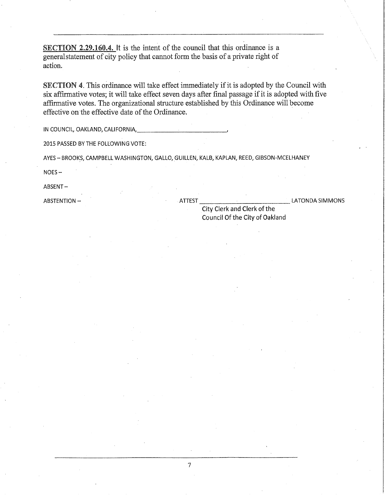SECTION 2.29.160.4. It is the intent of the council that this ordinance is a general statement of city policy that cannot form the basis of a private right of action.

SECTION 4. This ordinance will take effect immediately if it is adopted by the Council with six affirmative votes; it will take effect seven days after final passage if it is adopted with five affirmative votes. The organizational structure established by this Ordinance will become effective on the effective date of the Ordinance.

IN COUNCIL, OAKLAND, CALIFORNIA,

2015 PASSED BY THE FOLLOWING VOTE:

AYES-BROOKS, CAMPBELL WASHINGTON, GALLO, GUILLEN, KALB, KAPLAN, REED, GIBSON-MCELHANEY

NOES-

ABSENT-

7

ABSTENTION – ATTEST **ALL ALTER** EXAMPLES A LATONDA SIMMONS

City Clerk and Clerk of the Council Of the City of Oakland